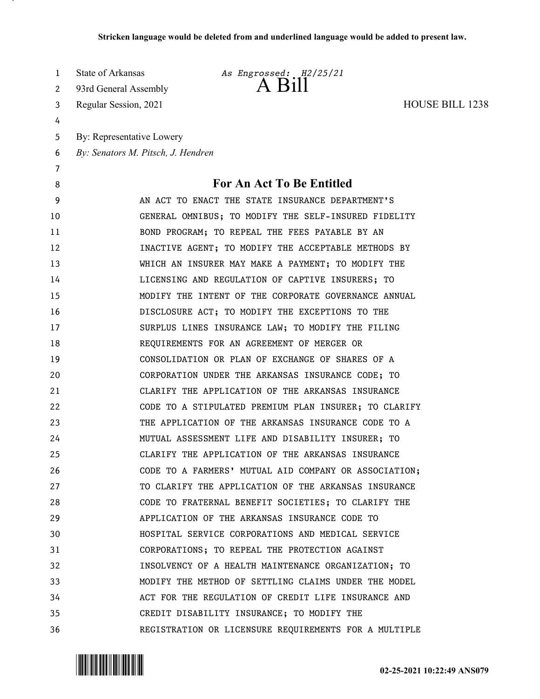| 1              | State of Arkansas                  | As Engrossed: H2/25/21                                |                        |
|----------------|------------------------------------|-------------------------------------------------------|------------------------|
| 2              | 93rd General Assembly              | $A$ $B1II$                                            |                        |
| 3              | Regular Session, 2021              |                                                       | <b>HOUSE BILL 1238</b> |
| 4              |                                    |                                                       |                        |
| 5              | By: Representative Lowery          |                                                       |                        |
| 6              | By: Senators M. Pitsch, J. Hendren |                                                       |                        |
| $\overline{7}$ |                                    |                                                       |                        |
| 8              |                                    | For An Act To Be Entitled                             |                        |
| 9              |                                    | AN ACT TO ENACT THE STATE INSURANCE DEPARTMENT'S      |                        |
| 10             |                                    | GENERAL OMNIBUS; TO MODIFY THE SELF-INSURED FIDELITY  |                        |
| 11             |                                    | BOND PROGRAM; TO REPEAL THE FEES PAYABLE BY AN        |                        |
| 12             |                                    | INACTIVE AGENT; TO MODIFY THE ACCEPTABLE METHODS BY   |                        |
| 13             |                                    | WHICH AN INSURER MAY MAKE A PAYMENT; TO MODIFY THE    |                        |
| 14             |                                    | LICENSING AND REGULATION OF CAPTIVE INSURERS; TO      |                        |
| 15             |                                    | MODIFY THE INTENT OF THE CORPORATE GOVERNANCE ANNUAL  |                        |
| 16             |                                    | DISCLOSURE ACT; TO MODIFY THE EXCEPTIONS TO THE       |                        |
| 17             |                                    | SURPLUS LINES INSURANCE LAW; TO MODIFY THE FILING     |                        |
| 18             |                                    | REQUIREMENTS FOR AN AGREEMENT OF MERGER OR            |                        |
| 19             |                                    | CONSOLIDATION OR PLAN OF EXCHANGE OF SHARES OF A      |                        |
| 20             |                                    | CORPORATION UNDER THE ARKANSAS INSURANCE CODE; TO     |                        |
| 21             |                                    | CLARIFY THE APPLICATION OF THE ARKANSAS INSURANCE     |                        |
| 22             |                                    | CODE TO A STIPULATED PREMIUM PLAN INSURER; TO CLARIFY |                        |
| 23             |                                    | THE APPLICATION OF THE ARKANSAS INSURANCE CODE TO A   |                        |
| 24             |                                    | MUTUAL ASSESSMENT LIFE AND DISABILITY INSURER; TO     |                        |
| 25             |                                    | CLARIFY THE APPLICATION OF THE ARKANSAS INSURANCE     |                        |
| 26             |                                    | CODE TO A FARMERS' MUTUAL AID COMPANY OR ASSOCIATION; |                        |
| 27             |                                    | TO CLARIFY THE APPLICATION OF THE ARKANSAS INSURANCE  |                        |
| 28             |                                    | CODE TO FRATERNAL BENEFIT SOCIETIES; TO CLARIFY THE   |                        |
| 29             |                                    | APPLICATION OF THE ARKANSAS INSURANCE CODE TO         |                        |
| 30             |                                    | HOSPITAL SERVICE CORPORATIONS AND MEDICAL SERVICE     |                        |
| 31             |                                    | CORPORATIONS; TO REPEAL THE PROTECTION AGAINST        |                        |
| 32             |                                    | INSOLVENCY OF A HEALTH MAINTENANCE ORGANIZATION; TO   |                        |
| 33             |                                    | MODIFY THE METHOD OF SETTLING CLAIMS UNDER THE MODEL  |                        |
| 34             |                                    | ACT FOR THE REGULATION OF CREDIT LIFE INSURANCE AND   |                        |
| 35             |                                    | CREDIT DISABILITY INSURANCE; TO MODIFY THE            |                        |
| 36             |                                    | REGISTRATION OR LICENSURE REQUIREMENTS FOR A MULTIPLE |                        |

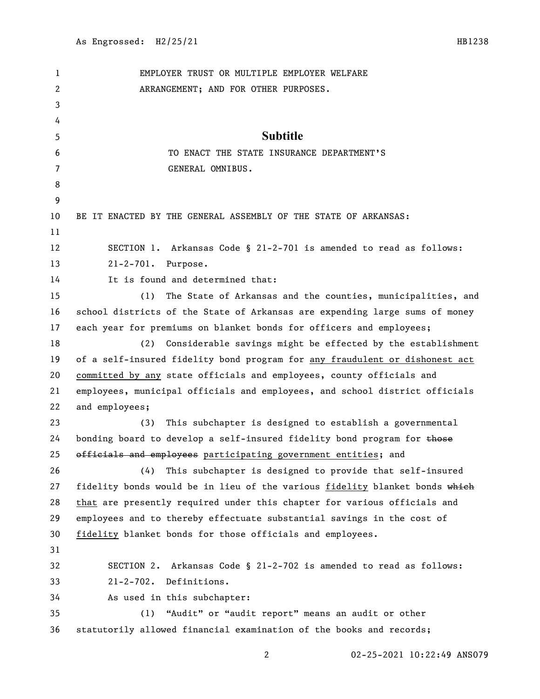| 1  | EMPLOYER TRUST OR MULTIPLE EMPLOYER WELFARE                                 |
|----|-----------------------------------------------------------------------------|
| 2  | ARRANGEMENT; AND FOR OTHER PURPOSES.                                        |
| 3  |                                                                             |
| 4  |                                                                             |
| 5  | <b>Subtitle</b>                                                             |
| 6  | TO ENACT THE STATE INSURANCE DEPARTMENT'S                                   |
| 7  | GENERAL OMNIBUS.                                                            |
| 8  |                                                                             |
| 9  |                                                                             |
| 10 | BE IT ENACTED BY THE GENERAL ASSEMBLY OF THE STATE OF ARKANSAS:             |
| 11 |                                                                             |
| 12 | Arkansas Code § 21-2-701 is amended to read as follows:<br>SECTION 1.       |
| 13 | $21 - 2 - 701$ .<br>Purpose.                                                |
| 14 | It is found and determined that:                                            |
| 15 | The State of Arkansas and the counties, municipalities, and<br>(1)          |
| 16 | school districts of the State of Arkansas are expending large sums of money |
| 17 | each year for premiums on blanket bonds for officers and employees;         |
| 18 | (2)<br>Considerable savings might be effected by the establishment          |
| 19 | of a self-insured fidelity bond program for any fraudulent or dishonest act |
| 20 | committed by any state officials and employees, county officials and        |
| 21 | employees, municipal officials and employees, and school district officials |
| 22 | and employees;                                                              |
| 23 | This subchapter is designed to establish a governmental<br>(3)              |
| 24 | bonding board to develop a self-insured fidelity bond program for those     |
| 25 | officials and employees participating government entities; and              |
| 26 | (4)<br>This subchapter is designed to provide that self-insured             |
| 27 | fidelity bonds would be in lieu of the various fidelity blanket bonds which |
| 28 | that are presently required under this chapter for various officials and    |
| 29 | employees and to thereby effectuate substantial savings in the cost of      |
| 30 | fidelity blanket bonds for those officials and employees.                   |
| 31 |                                                                             |
| 32 | SECTION 2. Arkansas Code § 21-2-702 is amended to read as follows:          |
| 33 | 21-2-702. Definitions.                                                      |
| 34 | As used in this subchapter:                                                 |
| 35 | (1) "Audit" or "audit report" means an audit or other                       |
| 36 | statutorily allowed financial examination of the books and records;         |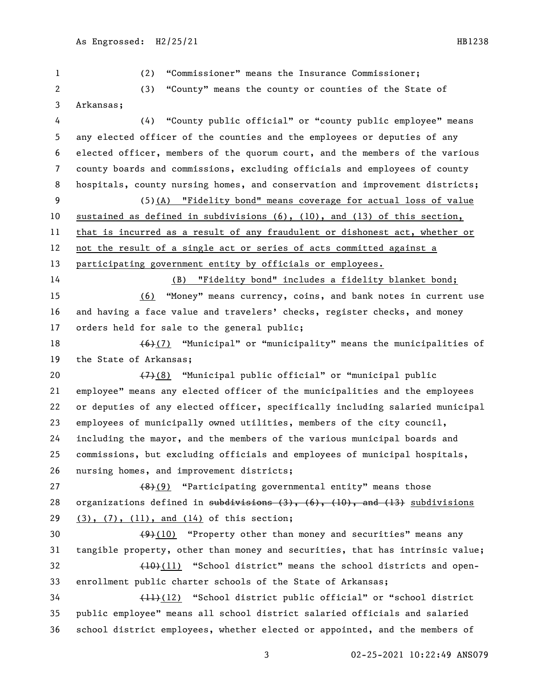(2) "Commissioner" means the Insurance Commissioner;

 (3) "County" means the county or counties of the State of Arkansas; (4) "County public official" or "county public employee" means any elected officer of the counties and the employees or deputies of any elected officer, members of the quorum court, and the members of the various county boards and commissions, excluding officials and employees of county

 (5)(A) "Fidelity bond" means coverage for actual loss of value sustained as defined in subdivisions (6), (10), and (13) of this section, that is incurred as a result of any fraudulent or dishonest act, whether or not the result of a single act or series of acts committed against a participating government entity by officials or employees.

hospitals, county nursing homes, and conservation and improvement districts;

 (B) "Fidelity bond" includes a fidelity blanket bond; (6) "Money" means currency, coins, and bank notes in current use and having a face value and travelers' checks, register checks, and money orders held for sale to the general public;

18  $(6)(7)$  "Municipal" or "municipality" means the municipalities of the State of Arkansas;

 $(7)(8)$  "Municipal public official" or "municipal public employee" means any elected officer of the municipalities and the employees or deputies of any elected officer, specifically including salaried municipal employees of municipally owned utilities, members of the city council, including the mayor, and the members of the various municipal boards and commissions, but excluding officials and employees of municipal hospitals, nursing homes, and improvement districts;

27 (8)(9) "Participating governmental entity" means those 28 organizations defined in  $\frac{1}{100}$  subdivisions  $(3)$ ,  $(6)$ ,  $(10)$ , and  $(13)$  subdivisions (3), (7), (11), and (14) of this section;

 $(9)(10)$  "Property other than money and securities" means any tangible property, other than money and securities, that has intrinsic value; 32 (10)(11) "School district" means the school districts and open-enrollment public charter schools of the State of Arkansas;

 (11)(12) "School district public official" or "school district public employee" means all school district salaried officials and salaried school district employees, whether elected or appointed, and the members of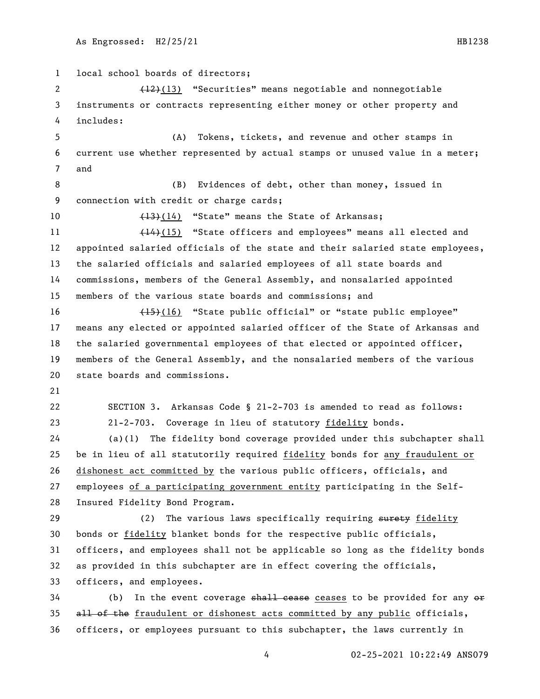local school boards of directors; 2 (12)(13) "Securities" means negotiable and nonnegotiable instruments or contracts representing either money or other property and includes: (A) Tokens, tickets, and revenue and other stamps in current use whether represented by actual stamps or unused value in a meter; and (B) Evidences of debt, other than money, issued in connection with credit or charge cards; 10 (13)(14) "State" means the State of Arkansas; 11 (14)(15) "State officers and employees" means all elected and appointed salaried officials of the state and their salaried state employees, the salaried officials and salaried employees of all state boards and commissions, members of the General Assembly, and nonsalaried appointed members of the various state boards and commissions; and (15)(16) "State public official" or "state public employee" means any elected or appointed salaried officer of the State of Arkansas and the salaried governmental employees of that elected or appointed officer, members of the General Assembly, and the nonsalaried members of the various state boards and commissions. SECTION 3. Arkansas Code § 21-2-703 is amended to read as follows: 21-2-703. Coverage in lieu of statutory fidelity bonds. (a)(1) The fidelity bond coverage provided under this subchapter shall be in lieu of all statutorily required fidelity bonds for any fraudulent or dishonest act committed by the various public officers, officials, and employees of a participating government entity participating in the Self- Insured Fidelity Bond Program. 29 (2) The various laws specifically requiring surety fidelity bonds or fidelity blanket bonds for the respective public officials, officers, and employees shall not be applicable so long as the fidelity bonds as provided in this subchapter are in effect covering the officials, officers, and employees. (b) In the event coverage  $shall$  cease ceases to be provided for any  $e^2$ 35 all of the fraudulent or dishonest acts committed by any public officials, officers, or employees pursuant to this subchapter, the laws currently in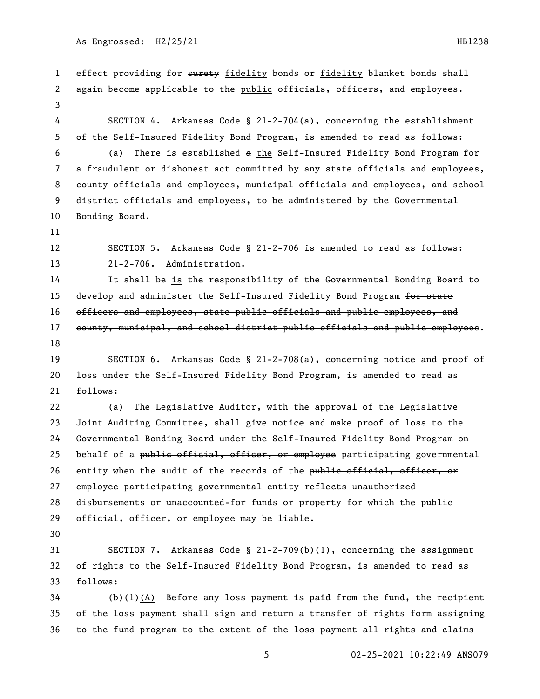1 effect providing for surety fidelity bonds or fidelity blanket bonds shall again become applicable to the public officials, officers, and employees. SECTION 4. Arkansas Code § 21-2-704(a), concerning the establishment of the Self-Insured Fidelity Bond Program, is amended to read as follows: (a) There is established a the Self-Insured Fidelity Bond Program for a fraudulent or dishonest act committed by any state officials and employees, county officials and employees, municipal officials and employees, and school district officials and employees, to be administered by the Governmental Bonding Board. SECTION 5. Arkansas Code § 21-2-706 is amended to read as follows: 21-2-706. Administration. 14 It shall be is the responsibility of the Governmental Bonding Board to 15 develop and administer the Self-Insured Fidelity Bond Program for state officers and employees, state public officials and public employees, and 17 county, municipal, and school district public officials and public employees. SECTION 6. Arkansas Code § 21-2-708(a), concerning notice and proof of loss under the Self-Insured Fidelity Bond Program, is amended to read as follows: (a) The Legislative Auditor, with the approval of the Legislative Joint Auditing Committee, shall give notice and make proof of loss to the Governmental Bonding Board under the Self-Insured Fidelity Bond Program on 25 behalf of a public official, officer, or employee participating governmental 26 entity when the audit of the records of the public official, officer, or 27 employee participating governmental entity reflects unauthorized disbursements or unaccounted-for funds or property for which the public official, officer, or employee may be liable. SECTION 7. Arkansas Code § 21-2-709(b)(1), concerning the assignment of rights to the Self-Insured Fidelity Bond Program, is amended to read as follows: (b)(1)(A) Before any loss payment is paid from the fund, the recipient of the loss payment shall sign and return a transfer of rights form assigning 36 to the fund program to the extent of the loss payment all rights and claims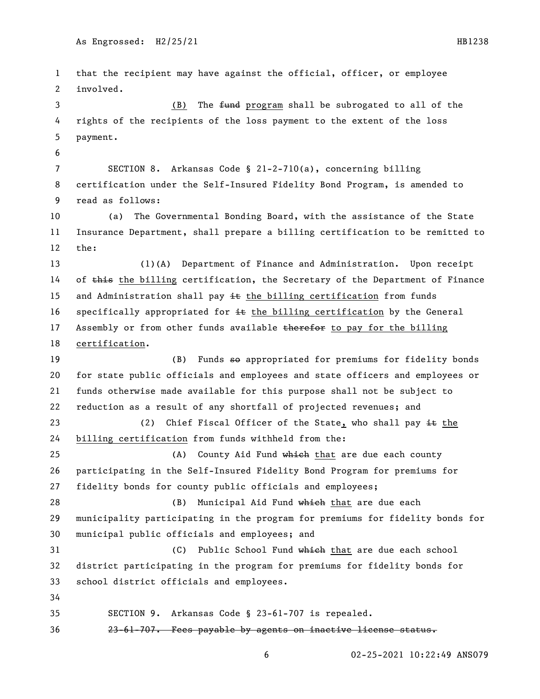that the recipient may have against the official, officer, or employee involved. 3 (B) The <del>fund</del> program shall be subrogated to all of the rights of the recipients of the loss payment to the extent of the loss payment. SECTION 8. Arkansas Code § 21-2-710(a), concerning billing certification under the Self-Insured Fidelity Bond Program, is amended to read as follows: (a) The Governmental Bonding Board, with the assistance of the State Insurance Department, shall prepare a billing certification to be remitted to the: (1)(A) Department of Finance and Administration. Upon receipt 14 of this the billing certification, the Secretary of the Department of Finance 15 and Administration shall pay  $\pm\epsilon$  the billing certification from funds 16 specifically appropriated for  $\pm\epsilon$  the billing certification by the General 17 Assembly or from other funds available therefor to pay for the billing certification. 19 (B) Funds so appropriated for premiums for fidelity bonds for state public officials and employees and state officers and employees or funds otherwise made available for this purpose shall not be subject to reduction as a result of any shortfall of projected revenues; and 23 (2) Chief Fiscal Officer of the State, who shall pay  $\pm \epsilon$  the billing certification from funds withheld from the: 25 (A) County Aid Fund which that are due each county participating in the Self-Insured Fidelity Bond Program for premiums for fidelity bonds for county public officials and employees; 28 (B) Municipal Aid Fund which that are due each municipality participating in the program for premiums for fidelity bonds for municipal public officials and employees; and 31 (C) Public School Fund which that are due each school district participating in the program for premiums for fidelity bonds for school district officials and employees. SECTION 9. Arkansas Code § 23-61-707 is repealed. 23-61-707. Fees payable by agents on inactive license status.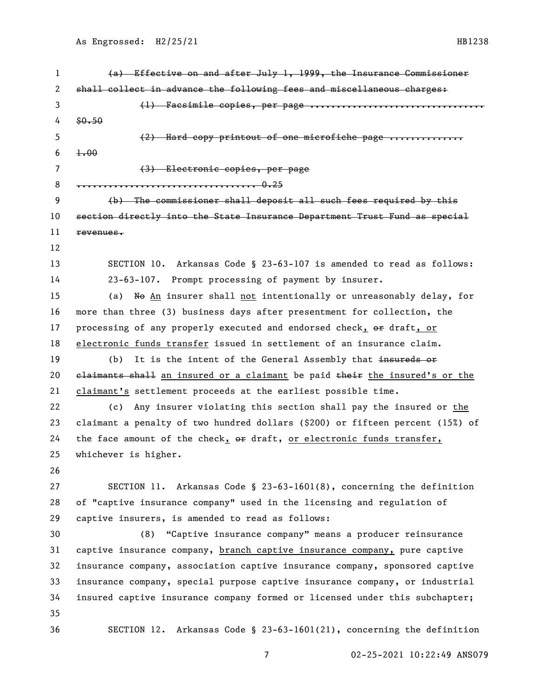shall collect in advance the following fees and miscellaneous charges: 3 (1) Facsimile copies, per page ................ 5 (2) Hard copy printout of one microfiche page .............. (3) Electronic copies, per page .................................. 0.25 (b) The commissioner shall deposit all such fees required by this section directly into the State Insurance Department Trust Fund as special SECTION 10. Arkansas Code § 23-63-107 is amended to read as follows: 23-63-107. Prompt processing of payment by insurer. (a) No An insurer shall not intentionally or unreasonably delay, for

 $4 \quad $0.50$ 

6  $1.00$ 

revenues.

 more than three (3) business days after presentment for collection, the 17 processing of any properly executed and endorsed check, or draft, or electronic funds transfer issued in settlement of an insurance claim. 19 (b) It is the intent of the General Assembly that insureds or

(a) Effective on and after July 1, 1999, the Insurance Commissioner

20 claimants shall an insured or a claimant be paid their the insured's or the claimant's settlement proceeds at the earliest possible time.

 (c) Any insurer violating this section shall pay the insured or the claimant a penalty of two hundred dollars (\$200) or fifteen percent (15%) of the face amount of the check, or draft, or electronic funds transfer, whichever is higher.

 SECTION 11. Arkansas Code § 23-63-1601(8), concerning the definition of "captive insurance company" used in the licensing and regulation of captive insurers, is amended to read as follows:

 (8) "Captive insurance company" means a producer reinsurance captive insurance company, branch captive insurance company, pure captive insurance company, association captive insurance company, sponsored captive insurance company, special purpose captive insurance company, or industrial insured captive insurance company formed or licensed under this subchapter; SECTION 12. Arkansas Code § 23-63-1601(21), concerning the definition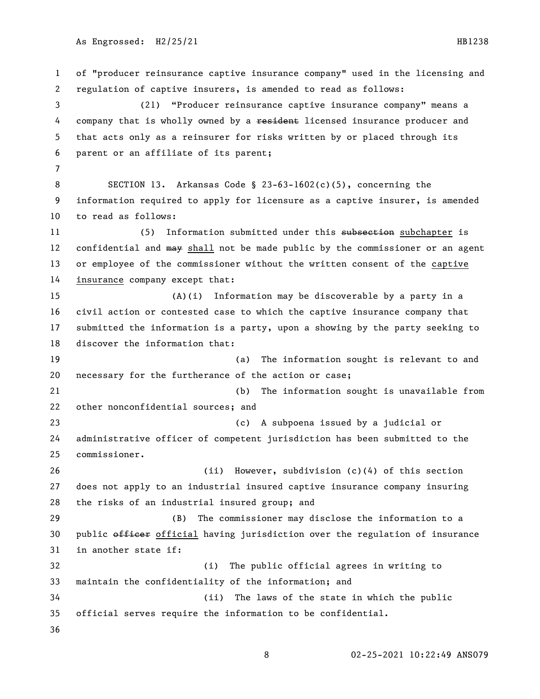of "producer reinsurance captive insurance company" used in the licensing and regulation of captive insurers, is amended to read as follows: (21) "Producer reinsurance captive insurance company" means a 4 company that is wholly owned by a resident licensed insurance producer and that acts only as a reinsurer for risks written by or placed through its parent or an affiliate of its parent; SECTION 13. Arkansas Code § 23-63-1602(c)(5), concerning the information required to apply for licensure as a captive insurer, is amended to read as follows: 11 (5) Information submitted under this subsection subchapter is 12 confidential and may shall not be made public by the commissioner or an agent or employee of the commissioner without the written consent of the captive insurance company except that: (A)(i) Information may be discoverable by a party in a civil action or contested case to which the captive insurance company that submitted the information is a party, upon a showing by the party seeking to discover the information that: (a) The information sought is relevant to and necessary for the furtherance of the action or case; (b) The information sought is unavailable from other nonconfidential sources; and (c) A subpoena issued by a judicial or administrative officer of competent jurisdiction has been submitted to the commissioner. (ii) However, subdivision (c)(4) of this section does not apply to an industrial insured captive insurance company insuring the risks of an industrial insured group; and (B) The commissioner may disclose the information to a 30 public officer official having jurisdiction over the regulation of insurance in another state if: (i) The public official agrees in writing to maintain the confidentiality of the information; and (ii) The laws of the state in which the public official serves require the information to be confidential.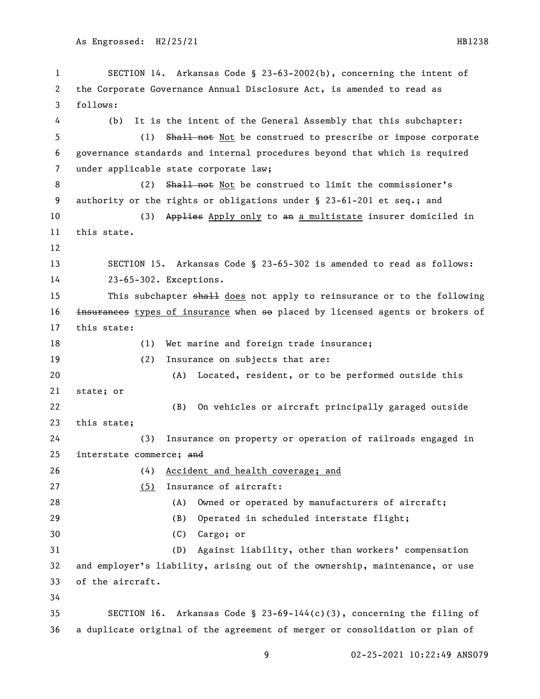```
1 SECTION 14. Arkansas Code § 23-63-2002(b), concerning the intent of 
2 the Corporate Governance Annual Disclosure Act, is amended to read as 
3 follows:
4 (b) It is the intent of the General Assembly that this subchapter:
5 (1) Shall not Not be construed to prescribe or impose corporate 
6 governance standards and internal procedures beyond that which is required 
7 under applicable state corporate law;
8 (2) Shall not Not be construed to limit the commissioner's
9 authority or the rights or obligations under § 23-61-201 et seq.; and
10 (3) Applies Apply only to an a multistate insurer domiciled in
11 this state.
12
13 SECTION 15. Arkansas Code § 23-65-302 is amended to read as follows:
14 23-65-302. Exceptions.
15 This subchapter shall does not apply to reinsurance or to the following
16 <del>insurances</del> types of insurance when so placed by licensed agents or brokers of
17 this state:
18 (1) Wet marine and foreign trade insurance;
19 (2) Insurance on subjects that are:
20 (A) Located, resident, or to be performed outside this 
21 state; or
22 (B) On vehicles or aircraft principally garaged outside 
23 this state;
24 (3) Insurance on property or operation of railroads engaged in 
25 interstate commerce; and
26 (4) Accident and health coverage; and
27 (5) Insurance of aircraft:
28 (A) Owned or operated by manufacturers of aircraft;
29 (B) Operated in scheduled interstate flight;
30 (C) Cargo; or
31 (D) Against liability, other than workers' compensation 
32 and employer's liability, arising out of the ownership, maintenance, or use 
33 of the aircraft.
34
35 SECTION 16. Arkansas Code § 23-69-144(c)(3), concerning the filing of 
36 a duplicate original of the agreement of merger or consolidation or plan of
```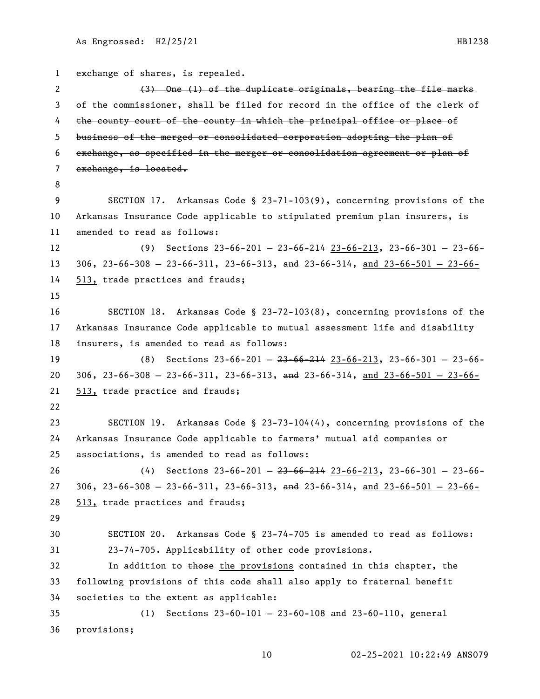```
1 exchange of shares, is repealed.
 2 (3) One (1) of the duplicate originals, bearing the file marks
3 of the commissioner, shall be filed for record in the office of the clerk of 
4 the county court of the county in which the principal office or place of
5 business of the merged or consolidated corporation adopting the plan of 
 6 exchange, as specified in the merger or consolidation agreement or plan of 
7 exchange, is located.
8
9 SECTION 17. Arkansas Code § 23-71-103(9), concerning provisions of the 
10 Arkansas Insurance Code applicable to stipulated premium plan insurers, is 
11 amended to read as follows:
12 (9) Sections 23-66-201 — 23-66-214 23-66-213, 23-66-301 — 23-66-
13 306, 23-66-308 - 23-66-311, 23-66-313, and 23-66-314, and 23-66-501 - 23-66-50114 513, trade practices and frauds;
15
16 SECTION 18. Arkansas Code § 23-72-103(8), concerning provisions of the 
17 Arkansas Insurance Code applicable to mutual assessment life and disability 
18 insurers, is amended to read as follows:
19 (8) Sections 23-66-201 — 23-66-214 23-66-213, 23-66-301 — 23-66-
20 306, 23-66-308 - 23-66-311, 23-66-313, and 23-66-314, and 23-66-501 - 23-66-50121 513, trade practice and frauds;
22
23 SECTION 19. Arkansas Code § 23-73-104(4), concerning provisions of the 
24 Arkansas Insurance Code applicable to farmers' mutual aid companies or 
25 associations, is amended to read as follows:
26 (4) Sections 23-66-201 — 23-66-214 23-66-213, 23-66-301 — 23-66-
27 306, 23-66-308 - 23-66-311, 23-66-313, and 23-66-314, and 23-66-501 - 23-66-31428 513, trade practices and frauds;
29
30 SECTION 20. Arkansas Code § 23-74-705 is amended to read as follows:
31 23-74-705. Applicability of other code provisions.
32 In addition to those the provisions contained in this chapter, the
33 following provisions of this code shall also apply to fraternal benefit 
34 societies to the extent as applicable:
35 (1) Sections 23-60-101 — 23-60-108 and 23-60-110, general 
36 provisions;
```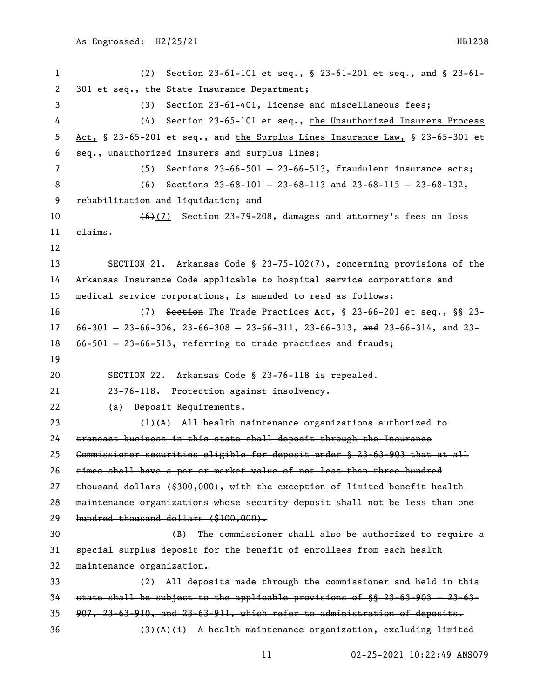(2) Section 23-61-101 et seq., § 23-61-201 et seq., and § 23-61- 301 et seq., the State Insurance Department; (3) Section 23-61-401, license and miscellaneous fees; (4) Section 23-65-101 et seq., the Unauthorized Insurers Process Act, § 23-65-201 et seq., and the Surplus Lines Insurance Law, § 23-65-301 et seq., unauthorized insurers and surplus lines; (5) Sections 23-66-501 — 23-66-513, fraudulent insurance acts; (6) Sections 23-68-101 — 23-68-113 and 23-68-115 — 23-68-132, rehabilitation and liquidation; and  $(6)(7)$  Section 23-79-208, damages and attorney's fees on loss claims. SECTION 21. Arkansas Code § 23-75-102(7), concerning provisions of the Arkansas Insurance Code applicable to hospital service corporations and medical service corporations, is amended to read as follows: (7) Section The Trade Practices Act, § 23-66-201 et seq., §§ 23- 17 66-301 - 23-66-306, 23-66-308 - 23-66-311, 23-66-313, and 23-66-314, and 23- 66-501 — 23-66-513, referring to trade practices and frauds; SECTION 22. Arkansas Code § 23-76-118 is repealed. 23-76-118. Protection against insolvency. (a) Deposit Requirements. (1)(A) All health maintenance organizations authorized to transact business in this state shall deposit through the Insurance Commissioner securities eligible for deposit under § 23-63-903 that at all times shall have a par or market value of not less than three hundred thousand dollars (\$300,000), with the exception of limited benefit health maintenance organizations whose security deposit shall not be less than one hundred thousand dollars (\$100,000). (B) The commissioner shall also be authorized to require a special surplus deposit for the benefit of enrollees from each health maintenance organization. (2) All deposits made through the commissioner and held in this state shall be subject to the applicable provisions of §§ 23-63-903 — 23-63- 907, 23-63-910, and 23-63-911, which refer to administration of deposits. (3)(A)(i) A health maintenance organization, excluding limited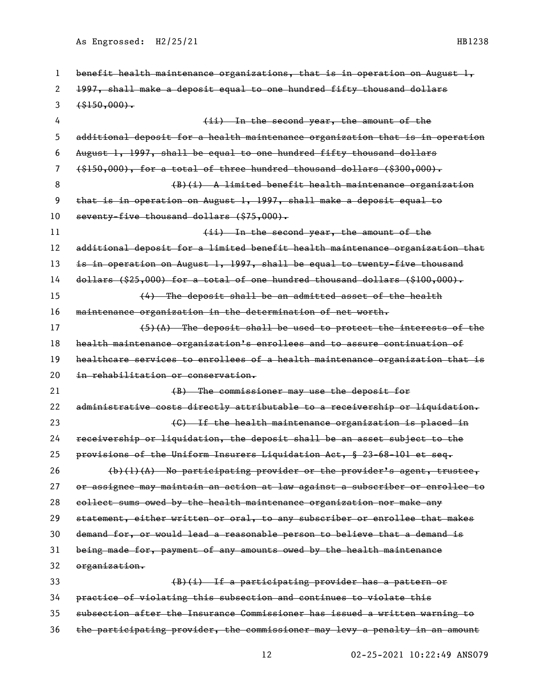As Engrossed: H2/25/21 HB1238

| 1  | benefit health maintenance organizations, that is in operation on August $l_{\text{r}}$ |
|----|-----------------------------------------------------------------------------------------|
| 2  | 1997, shall make a deposit equal to one hundred fifty thousand dollars                  |
| 3  | $($ \$150,000).                                                                         |
| 4  | (ii) In the second year, the amount of the                                              |
| 5  | additional deposit for a health maintenance organization that is in operation           |
| 6  | August 1, 1997, shall be equal to one hundred fifty thousand dollars                    |
| 7  | $(15150,000)$ , for a total of three hundred thousand dollars (\$300,000).              |
| 8  | $(B)(i)$ A limited benefit health maintenance organization                              |
| 9  | that is in operation on August 1, 1997, shall make a deposit equal to                   |
| 10 | seventy-five thousand dollars (\$75,000).                                               |
| 11 | (ii) In the second year, the amount of the                                              |
| 12 | additional deposit for a limited benefit health maintenance organization that           |
| 13 | is in operation on August 1, 1997, shall be equal to twenty-five thousand               |
| 14 | $d$ ollars (\$25,000) for a total of one hundred thousand dollars (\$100,000).          |
| 15 | $(4)$ The deposit shall be an admitted asset of the health                              |
| 16 | maintenance organization in the determination of net worth.                             |
| 17 | $(5)$ (A) The deposit shall be used to protect the interests of the                     |
| 18 | health maintenance organization's enrollees and to assure continuation of               |
| 19 | healtheare services to enrollees of a health maintenance organization that is           |
| 20 | in rehabilitation or conservation.                                                      |
| 21 | (B) The commissioner may use the deposit for                                            |
| 22 | administrative costs directly attributable to a receivership or liquidation.            |
| 23 | (G) If the health maintenance organization is placed in                                 |
| 24 | receivership or liquidation, the deposit shall be an asset subject to the               |
| 25 | provisions of the Uniform Insurers Liquidation Act, § 23-68-101 et seq.                 |
| 26 | $(b)(1)(A)$ No participating provider or the provider's agent, trustee,                 |
| 27 | or assignee may maintain an action at law against a subscriber or enrollee to           |
| 28 | collect sums owed by the health maintenance organization nor make any                   |
| 29 | statement, either written or oral, to any subscriber or enrollee that makes             |
| 30 | demand for, or would lead a reasonable person to believe that a demand is               |
| 31 | being made for, payment of any amounts owed by the health maintenance                   |
| 32 | organization.                                                                           |
| 33 | $(B)(i)$ If a participating provider has a pattern or                                   |
| 34 | practice of violating this subsection and continues to violate this                     |
| 35 | subsection after the Insurance Commissioner has issued a written warning to             |
| 36 | the participating provider, the commissioner may levy a penalty in an amount            |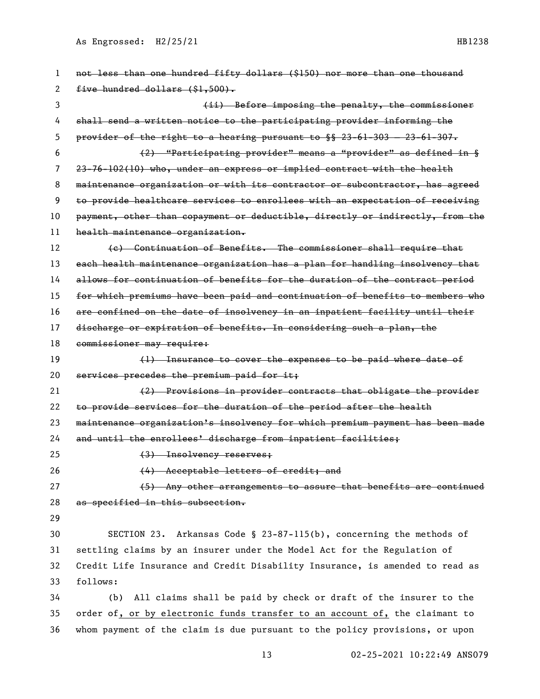As Engrossed: H2/25/21 HB1238

| 1  | not less than one hundred fifty dollars (\$150) nor more than one thousand          |
|----|-------------------------------------------------------------------------------------|
| 2  | five hundred dollars (\$1,500).                                                     |
| 3  | (ii) Before imposing the penalty, the commissioner                                  |
| 4  | shall send a written notice to the participating provider informing the             |
| 5  | provider of the right to a hearing pursuant to $\frac{1}{2}$ 23-61-303 - 23-61-307. |
| 6  | (2) "Participating provider" means a "provider" as defined in §                     |
| 7  | 23-76-102(10) who, under an express or implied contract with the health             |
| 8  | maintenance organization or with its contractor or subcontractor, has agreed        |
| 9  | to provide healtheare services to enrollees with an expectation of receiving        |
| 10 | payment, other than copayment or deductible, directly or indirectly, from the       |
| 11 | health maintenance organization.                                                    |
| 12 | (e) Continuation of Benefits. The commissioner shall require that                   |
| 13 | each health maintenance organization has a plan for handling insolvency that        |
| 14 | allows for continuation of benefits for the duration of the contract period         |
| 15 | for which premiums have been paid and continuation of benefits to members who       |
| 16 | are confined on the date of insolvency in an inpatient facility until their         |
| 17 | discharge or expiration of benefits. In considering such a plan, the                |
| 18 | commissioner may require:                                                           |
| 19 | (1) Insurance to cover the expenses to be paid where date of                        |
| 20 | services precedes the premium paid for it;                                          |
| 21 | (2) Provisions in provider contracts that obligate the provider                     |
| 22 | to provide services for the duration of the period after the health                 |
| 23 | maintenance organization's insolvency for which premium payment has been made       |
| 24 | and until the enrollees' discharge from inpatient facilities;                       |
| 25 | (3) Insolvency reserves;                                                            |
| 26 | (4) Acceptable letters of credit; and                                               |
| 27 | (5) Any other arrangements to assure that benefits are continued                    |
| 28 | as specified in this subsection.                                                    |
| 29 |                                                                                     |
| 30 | SECTION 23. Arkansas Code § 23-87-115(b), concerning the methods of                 |
| 31 | settling claims by an insurer under the Model Act for the Regulation of             |
| 32 | Credit Life Insurance and Credit Disability Insurance, is amended to read as        |
| 33 | follows:                                                                            |
| 34 | All claims shall be paid by check or draft of the insurer to the<br>(b)             |
| 35 | order of, or by electronic funds transfer to an account of, the claimant to         |
| 36 | whom payment of the claim is due pursuant to the policy provisions, or upon         |